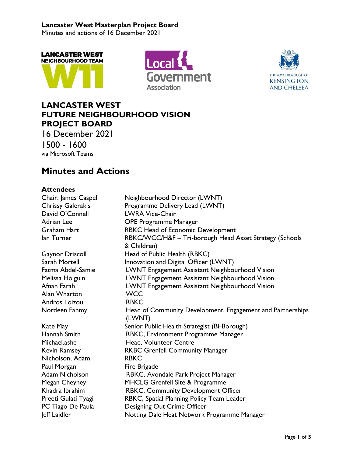Minutes and actions of 16 December 2021







# **LANCASTER WEST FUTURE NEIGHBOURHOOD VISION PROJECT BOARD**

16 December 2021 1500 - 1600 via Microsoft Teams

# **Minutes and Actions**

## **Attendees**

| Chair: James Caspell     | Neighbourhood Director (LWNT)                              |
|--------------------------|------------------------------------------------------------|
| <b>Chrissy Galerakis</b> | Programme Delivery Lead (LWNT)                             |
| David O'Connell          | <b>LWRA Vice-Chair</b>                                     |
| <b>Adrian Lee</b>        | <b>OPE Programme Manager</b>                               |
| <b>Graham Hart</b>       | <b>RBKC Head of Economic Development</b>                   |
| lan Turner               | RBKC/WCC/H&F - Tri-borough Head Asset Strategy (Schools    |
|                          | & Children)                                                |
| <b>Gaynor Driscoll</b>   | Head of Public Health (RBKC)                               |
| Sarah Mortell            | Innovation and Digital Officer (LWNT)                      |
| Fatma Abdel-Samie        | LWNT Engagement Assistant Neighbourhood Vision             |
| Melissa Holguin          | LWNT Engagement Assistant Neighbourhood Vision             |
| Afnan Farah              | LWNT Engagement Assistant Neighbourhood Vision             |
| Alan Wharton             | <b>WCC</b>                                                 |
| Andros Loizou            | <b>RBKC</b>                                                |
| Nordeen Fahmy            | Head of Community Development, Engagement and Partnerships |
|                          | (LWNT)                                                     |
| Kate May                 | Senior Public Health Strategist (Bi-Borough)               |
| Hannah Smith             | RBKC, Environment Programme Manager                        |
| Michael.ashe             | Head, Volunteer Centre                                     |
| Kevin Ramsey             | <b>RKBC Grenfell Community Manager</b>                     |
| Nicholson, Adam          | <b>RBKC</b>                                                |
| Paul Morgan              | Fire Brigade                                               |
| <b>Adam Nicholson</b>    | RBKC, Avondale Park Project Manager                        |
| Megan Cheyney            | MHCLG Grenfell Site & Programme                            |
| Khadra Ibrahim           | RBKC, Community Development Officer                        |
| Preeti Gulati Tyagi      | RBKC, Spatial Planning Policy Team Leader                  |
| PC Tiago De Paula        | Designing Out Crime Officer                                |
| Jeff Laidler             | Notting Dale Heat Network Programme Manager                |
|                          |                                                            |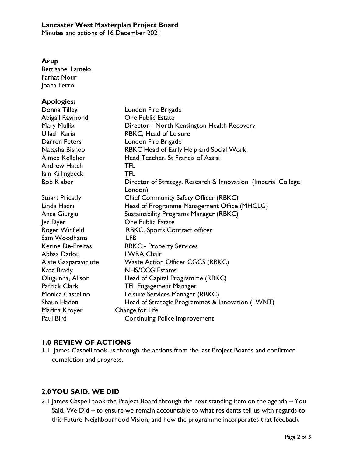Minutes and actions of 16 December 2021

#### **Arup**

Bettisabel Lamelo Farhat Nour Joana Ferro

#### **Apologies:**

| Donna Tilley           | London Fire Brigade                                                      |
|------------------------|--------------------------------------------------------------------------|
|                        | One Public Estate                                                        |
| Abigail Raymond        |                                                                          |
| Mary Mullix            | Director - North Kensington Health Recovery                              |
| Ullash Karia           | RBKC, Head of Leisure                                                    |
| Darren Peters          | London Fire Brigade                                                      |
| Natasha Bishop         | RBKC Head of Early Help and Social Work                                  |
| Aimee Kelleher         | Head Teacher, St Francis of Assisi                                       |
| <b>Andrew Hatch</b>    | <b>TFL</b>                                                               |
| lain Killingbeck       | <b>TFL</b>                                                               |
| <b>Bob Klaber</b>      | Director of Strategy, Research & Innovation (Imperial College<br>London) |
| <b>Stuart Priestly</b> | Chief Community Safety Officer (RBKC)                                    |
| Linda Hadri            | Head of Programme Management Office (MHCLG)                              |
| Anca Giurgiu           | Sustainability Programs Manager (RBKC)                                   |
| Jez Dyer               | <b>One Public Estate</b>                                                 |
| Roger Winfield         | RBKC, Sports Contract officer                                            |
| Sam Woodhams           | <b>LFB</b>                                                               |
| Kerine De-Freitas      | <b>RBKC - Property Services</b>                                          |
| Abbas Dadou            | <b>LWRA Chair</b>                                                        |
| Aiste Gasparaviciute   | <b>Waste Action Officer CGCS (RBKC)</b>                                  |
| Kate Brady             | <b>NHS/CCG Estates</b>                                                   |
| Olugunna, Alison       | Head of Capital Programme (RBKC)                                         |
| Patrick Clark          | <b>TFL Engagement Manager</b>                                            |
| Monica Castelino       | Leisure Services Manager (RBKC)                                          |
| Shaun Haden            | Head of Strategic Programmes & Innovation (LWNT)                         |
| Marina Kroyer          | Change for Life                                                          |
| Paul Bird              | <b>Continuing Police Improvement</b>                                     |
|                        |                                                                          |

#### **1.0 REVIEW OF ACTIONS**

1.1 James Caspell took us through the actions from the last Project Boards and confirmed completion and progress.

#### **2.0YOU SAID, WE DID**

2.1 James Caspell took the Project Board through the next standing item on the agenda – You Said, We Did – to ensure we remain accountable to what residents tell us with regards to this Future Neighbourhood Vision, and how the programme incorporates that feedback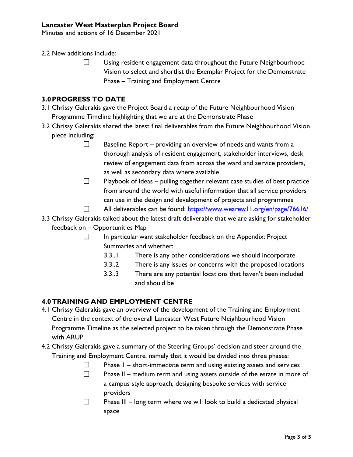Minutes and actions of 16 December 2021

2.2 New additions include:

 $\Box$ Using resident engagement data throughout the Future Neighbourhood Vision to select and shortlist the Exemplar Project for the Demonstrate Phase – Training and Employment Centre

## **3.0PROGRESS TO DATE**

- 3.1 Chrissy Galerakis gave the Project Board a recap of the Future Neighbourhood Vision Programme Timeline highlighting that we are at the Demonstrate Phase
- 3.2 Chrissy Galerakis shared the latest final deliverables from the Future Neighbourhood Vision piece including:
	- $\Box$ Baseline Report – providing an overview of needs and wants from a thorough analysis of resident engagement, stakeholder interviews, desk review of engagement data from across the ward and service providers, as well as secondary data where available
	- $\Box$ Playbook of Ideas – pulling together relevant case studies of best practice from around the world with useful information that all service providers can use in the design and development of projects and programmes
	- $\Box$ All deliverables can be found:<https://www.wearew11.org/en/page/76616/>
- 3.3 Chrissy Galerakis talked about the latest draft deliverable that we are asking for stakeholder feedback on – Opportunities Map
	- In particular want stakeholder feedback on the Appendix: Project  $\Box$ Summaries and whether:
		- 3.3..1 There is any other considerations we should incorporate
		- 3.3..2 There is any issues or concerns with the proposed locations
		- 3.3..3 There are any potential locations that haven't been included and should be

#### **4.0TRAINING AND EMPLOYMENT CENTRE**

- 4.1 Chrissy Galerakis gave an overview of the development of the Training and Employment Centre in the context of the overall Lancaster West Future Neighbourhood Vision Programme Timeline as the selected project to be taken through the Demonstrate Phase with ARUP.
- 4.2 Chrissy Galerakis gave a summary of the Steering Groups' decision and steer around the Training and Employment Centre, namely that it would be divided into three phases:
	- $\Box$ Phase 1 – short-immediate term and using existing assets and services
	- $\Box$ Phase II – medium term and using assets outside of the estate in more of a campus style approach, designing bespoke services with service providers
	- $\Box$ Phase III – long term where we will look to build a dedicated physical space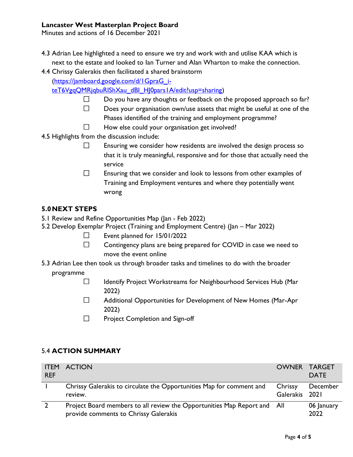Minutes and actions of 16 December 2021

- 4.3 Adrian Lee highlighted a need to ensure we try and work with and utilise KAA which is next to the estate and looked to Ian Turner and Alan Wharton to make the connection.
- 4.4 Chrissy Galerakis then facilitated a shared brainstorm

[\(https://jamboard.google.com/d/1GpraG\\_i-](https://jamboard.google.com/d/1GpraG_i-teT6VgqQMRjqbuRIShXau_dBI_HJ0pars1A/edit?usp=sharing)

[teT6VgqQMRjqbuRIShXau\\_dBI\\_HJ0pars1A/edit?usp=sharing\)](https://jamboard.google.com/d/1GpraG_i-teT6VgqQMRjqbuRIShXau_dBI_HJ0pars1A/edit?usp=sharing)

- $\Box$ Do you have any thoughts or feedback on the proposed approach so far?
- Does your organisation own/use assets that might be useful at one of the  $\Box$
- Phases identified of the training and employment programme?
- $\Box$ How else could your organisation get involved?
- 4.5 Highlights from the discussion include:
	- $\Box$ Ensuring we consider how residents are involved the design process so that it is truly meaningful, responsive and for those that actually need the service
	- $\Box$ Ensuring that we consider and look to lessons from other examples of Training and Employment ventures and where they potentially went wrong

#### **5.0NEXT STEPS**

- 5.1 Review and Refine Opportunities Map (Jan Feb 2022)
- 5.2 Develop Exemplar Project (Training and Employment Centre) (Jan Mar 2022)
	- $\Box$ Event planned for 15/01/2022
	- $\Box$ Contingency plans are being prepared for COVID in case we need to move the event online
- 5.3 Adrian Lee then took us through broader tasks and timelines to do with the broader
	- programme
		- $\Box$ Identify Project Workstreams for Neighbourhood Services Hub (Mar 2022)
		- $\Box$ Additional Opportunities for Development of New Homes (Mar-Apr 2022)
		- $\Box$ Project Completion and Sign-off

#### 5.4 **ACTION SUMMARY**

| <b>REF</b> | <b>ITEM ACTION</b>                                                                                                | OWNER TARGET              | <b>DATE</b>        |
|------------|-------------------------------------------------------------------------------------------------------------------|---------------------------|--------------------|
|            | Chrissy Galerakis to circulate the Opportunities Map for comment and<br>review.                                   | Chrissy<br>Galerakis 2021 | December           |
|            | Project Board members to all review the Opportunities Map Report and All<br>provide comments to Chrissy Galerakis |                           | 06 January<br>2022 |